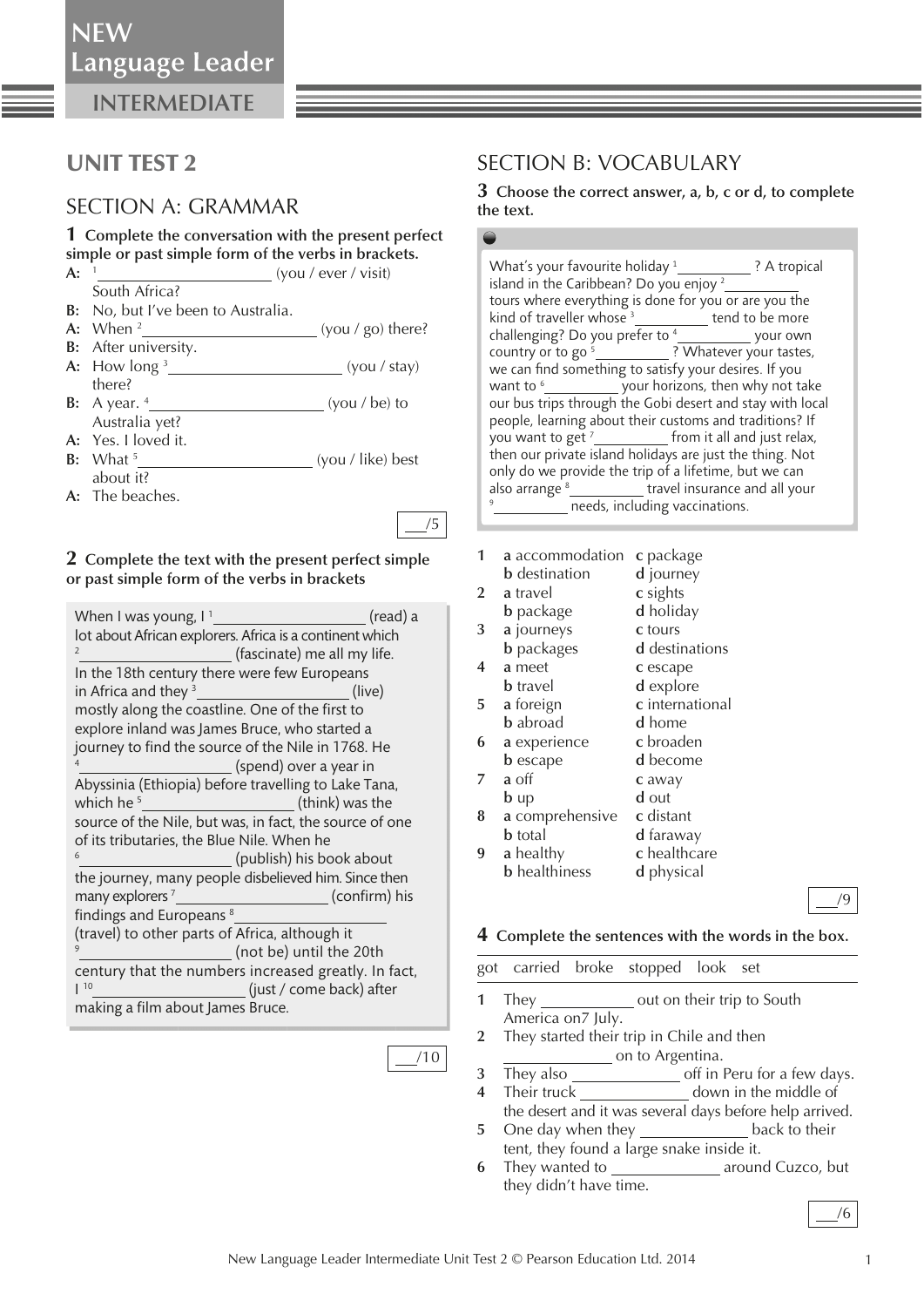**INTERMEDIATE**

## UNIT TEST 2

### SECTION A: GRAMMAR

**1 Complete the conversation with the present perfect simple or past simple form of the verbs in brackets.** 

- **A:** 1 (you / ever / visit) South Africa?
- **B:** No, but I've been to Australia.
- **A:** When 2 *<u><b> (you / go) there?</u>*
- **B:** After university. **A:** How long 3 (you / stay)
- there?
- **B:** A year. 4 (you / be) to Australia yet?
- **A:** Yes. I loved it.
- **B:** What 5 (you / like) best about it?
- **A:** The beaches.

#### **2 Complete the text with the present perfect simple or past simple form of the verbs in brackets**

| When I was young, $I^1$                                  | (read) a      |  |  |  |  |
|----------------------------------------------------------|---------------|--|--|--|--|
| lot about African explorers. Africa is a continent which |               |  |  |  |  |
| $\overline{2}$<br>(fascinate) me all my life.            |               |  |  |  |  |
| In the 18th century there were few Europeans             |               |  |  |  |  |
| in Africa and they <sup>3</sup><br>(live)                |               |  |  |  |  |
| mostly along the coastline. One of the first to          |               |  |  |  |  |
| explore inland was James Bruce, who started a            |               |  |  |  |  |
| journey to find the source of the Nile in 1768. He       |               |  |  |  |  |
| (spend) over a year in                                   |               |  |  |  |  |
| Abyssinia (Ethiopia) before travelling to Lake Tana,     |               |  |  |  |  |
| which he $5$<br>(think) was the                          |               |  |  |  |  |
| source of the Nile, but was, in fact, the source of one  |               |  |  |  |  |
| of its tributaries, the Blue Nile. When he               |               |  |  |  |  |
| 6<br>(publish) his book about                            |               |  |  |  |  |
| the journey, many people disbelieved him. Since then     |               |  |  |  |  |
| many explorers <sup>7</sup>                              | (confirm) his |  |  |  |  |
| findings and Europeans <sup>8</sup>                      |               |  |  |  |  |
| (travel) to other parts of Africa, although it           |               |  |  |  |  |
| 9<br>(not be) until the 20th                             |               |  |  |  |  |
| century that the numbers increased greatly. In fact,     |               |  |  |  |  |
| 10<br>(just / come back) after                           |               |  |  |  |  |
| making a film about James Bruce.                         |               |  |  |  |  |

/10

### SECTION B: VOCABULARY

**3 Choose the correct answer, a, b, c or d, to complete the text.** 

| island in the Caribbean? Do you enjoy $2$                             |  |  |  |  |
|-----------------------------------------------------------------------|--|--|--|--|
| tours where everything is done for you or are you the                 |  |  |  |  |
| kind of traveller whose <sup>3</sup> ____________ tend to be more     |  |  |  |  |
| challenging? Do you prefer to <sup>4</sup> ______________ your own    |  |  |  |  |
| country or to go <sup>5</sup> ____________? Whatever your tastes,     |  |  |  |  |
| we can find something to satisfy your desires. If you                 |  |  |  |  |
| want to <sup>6</sup> _______________ your horizons, then why not take |  |  |  |  |
| our bus trips through the Gobi desert and stay with local             |  |  |  |  |
| people, learning about their customs and traditions? If               |  |  |  |  |
|                                                                       |  |  |  |  |
| then our private island holidays are just the thing. Not              |  |  |  |  |
| only do we provide the trip of a lifetime, but we can                 |  |  |  |  |
| also arrange <sup>8</sup> _____________travel insurance and all your  |  |  |  |  |
| _ needs, including vaccinations.                                      |  |  |  |  |

 **1 a** accommodation **c** package

|   | <b>b</b> destination | d journey       |
|---|----------------------|-----------------|
| 2 | a travel             | c sights        |
|   | <b>b</b> package     | d holiday       |
| 3 | a journeys           | c tours         |
|   | <b>b</b> packages    | d destinations  |
| 4 | a meet               | c escape        |
|   | <b>b</b> travel      | d explore       |
| 5 | a foreign            | c international |
|   | <b>b</b> abroad      | d home          |
| 6 | a experience         | c broaden       |
|   | <b>b</b> escape      | <b>d</b> become |
|   | a off                | c away          |
|   | $b \,$ up            | d out           |
| 8 | a comprehensive      | c distant       |
|   | <b>b</b> total       | d faraway       |
|   | a healthy            | c healthcare    |
|   | <b>b</b> healthiness | d physical      |
|   |                      |                 |

# /9

#### **4 Complete the sentences with the words in the box.**

|   | got carried broke stopped look set                      |                                                   |                                           |  |                                                      |  |  |  |
|---|---------------------------------------------------------|---------------------------------------------------|-------------------------------------------|--|------------------------------------------------------|--|--|--|
| 1 |                                                         | They _________________ out on their trip to South |                                           |  |                                                      |  |  |  |
|   | America on 7 July.                                      |                                                   |                                           |  |                                                      |  |  |  |
|   | 2 They started their trip in Chile and then             |                                                   |                                           |  |                                                      |  |  |  |
|   | on to Argentina.                                        |                                                   |                                           |  |                                                      |  |  |  |
| 3 |                                                         |                                                   |                                           |  |                                                      |  |  |  |
|   |                                                         |                                                   |                                           |  | 4 Their truck down in the middle of                  |  |  |  |
|   | the desert and it was several days before help arrived. |                                                   |                                           |  |                                                      |  |  |  |
| 5 |                                                         |                                                   |                                           |  | One day when they _____________________back to their |  |  |  |
|   |                                                         |                                                   | tent, they found a large snake inside it. |  |                                                      |  |  |  |

**6** They wanted to **business** around Cuzco, but they didn't have time.

/6